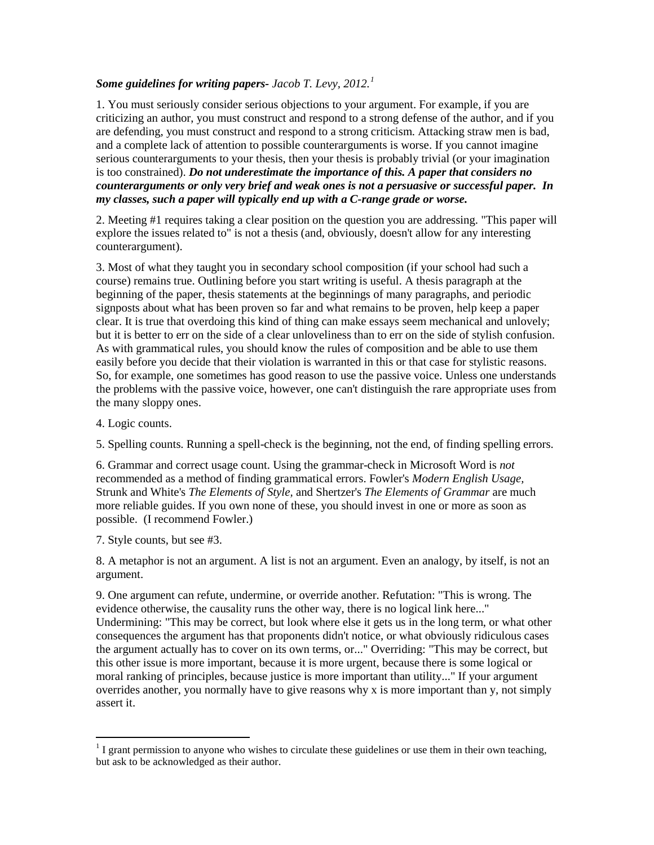## *Some guidelines for writing papers- Jacob T. Levy, 2012. [1](#page-0-0)*

1. You must seriously consider serious objections to your argument. For example, if you are criticizing an author, you must construct and respond to a strong defense of the author, and if you are defending, you must construct and respond to a strong criticism. Attacking straw men is bad, and a complete lack of attention to possible counterarguments is worse. If you cannot imagine serious counterarguments to your thesis, then your thesis is probably trivial (or your imagination is too constrained). *Do not underestimate the importance of this. A paper that considers no counterarguments or only very brief and weak ones is not a persuasive or successful paper. In my classes, such a paper will typically end up with a C-range grade or worse.*

2. Meeting #1 requires taking a clear position on the question you are addressing. "This paper will explore the issues related to" is not a thesis (and, obviously, doesn't allow for any interesting counterargument).

3. Most of what they taught you in secondary school composition (if your school had such a course) remains true. Outlining before you start writing is useful. A thesis paragraph at the beginning of the paper, thesis statements at the beginnings of many paragraphs, and periodic signposts about what has been proven so far and what remains to be proven, help keep a paper clear. It is true that overdoing this kind of thing can make essays seem mechanical and unlovely; but it is better to err on the side of a clear unloveliness than to err on the side of stylish confusion. As with grammatical rules, you should know the rules of composition and be able to use them easily before you decide that their violation is warranted in this or that case for stylistic reasons. So, for example, one sometimes has good reason to use the passive voice. Unless one understands the problems with the passive voice, however, one can't distinguish the rare appropriate uses from the many sloppy ones.

4. Logic counts.

5. Spelling counts. Running a spell-check is the beginning, not the end, of finding spelling errors.

6. Grammar and correct usage count. Using the grammar-check in Microsoft Word is *not* recommended as a method of finding grammatical errors. Fowler's *Modern English Usage,*  Strunk and White's *The Elements of Style,* and Shertzer's *The Elements of Grammar* are much more reliable guides. If you own none of these, you should invest in one or more as soon as possible. (I recommend Fowler.)

7. Style counts, but see #3.

8. A metaphor is not an argument. A list is not an argument. Even an analogy, by itself, is not an argument.

9. One argument can refute, undermine, or override another. Refutation: "This is wrong. The evidence otherwise, the causality runs the other way, there is no logical link here..." Undermining: "This may be correct, but look where else it gets us in the long term, or what other consequences the argument has that proponents didn't notice, or what obviously ridiculous cases the argument actually has to cover on its own terms, or..." Overriding: "This may be correct, but this other issue is more important, because it is more urgent, because there is some logical or moral ranking of principles, because justice is more important than utility..." If your argument overrides another, you normally have to give reasons why x is more important than y, not simply assert it.

<span id="page-0-0"></span> $1$  I grant permission to anyone who wishes to circulate these guidelines or use them in their own teaching, but ask to be acknowledged as their author.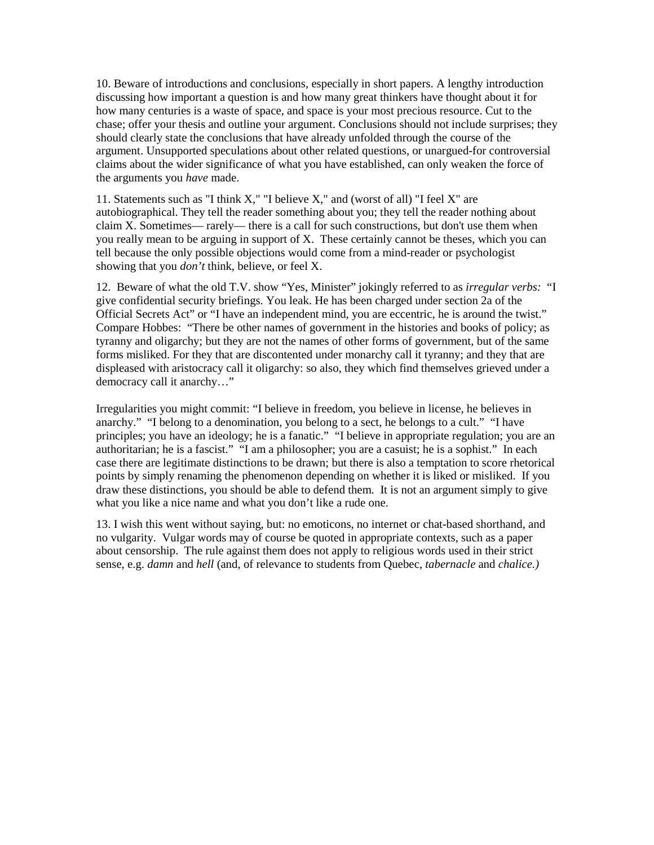10. Beware of introductions and conclusions, especially in short papers. A lengthy introduction discussing how important a question is and how many great thinkers have thought about it for how many centuries is a waste of space, and space is your most precious resource. Cut to the chase; offer your thesis and outline your argument. Conclusions should not include surprises; they should clearly state the conclusions that have already unfolded through the course of the argument. Unsupported speculations about other related questions, or unargued-for controversial claims about the wider significance of what you have established, can only weaken the force of the arguments you *have* made.

11. Statements such as "I think X," "I believe X," and (worst of all) "I feel X" are autobiographical. They tell the reader something about you; they tell the reader nothing about claim X. Sometimes— rarely— there is a call for such constructions, but don't use them when you really mean to be arguing in support of X. These certainly cannot be theses, which you can tell because the only possible objections would come from a mind-reader or psychologist showing that you *don't* think, believe, or feel X.

12. Beware of what the old T.V. show "Yes, Minister" jokingly referred to as *irregular verbs:* "I give confidential security briefings. You leak. He has been charged under section 2a of the Official Secrets Act" or "I have an independent mind, you are eccentric, he is around the twist." Compare Hobbes: "There be other names of government in the histories and books of policy; as tyranny and oligarchy; but they are not the names of other forms of government, but of the same forms misliked. For they that are discontented under monarchy call it tyranny; and they that are displeased with aristocracy call it oligarchy: so also, they which find themselves grieved under a democracy call it anarchy…"

Irregularities you might commit: "I believe in freedom, you believe in license, he believes in anarchy." "I belong to a denomination, you belong to a sect, he belongs to a cult." "I have principles; you have an ideology; he is a fanatic." "I believe in appropriate regulation; you are an authoritarian; he is a fascist." "I am a philosopher; you are a casuist; he is a sophist." In each case there are legitimate distinctions to be drawn; but there is also a temptation to score rhetorical points by simply renaming the phenomenon depending on whether it is liked or misliked. If you draw these distinctions, you should be able to defend them. It is not an argument simply to give what you like a nice name and what you don't like a rude one.

13. I wish this went without saying, but: no emoticons, no internet or chat-based shorthand, and no vulgarity. Vulgar words may of course be quoted in appropriate contexts, such as a paper about censorship. The rule against them does not apply to religious words used in their strict sense, e.g. *damn* and *hell* (and, of relevance to students from Quebec, *tabernacle* and *chalice.)*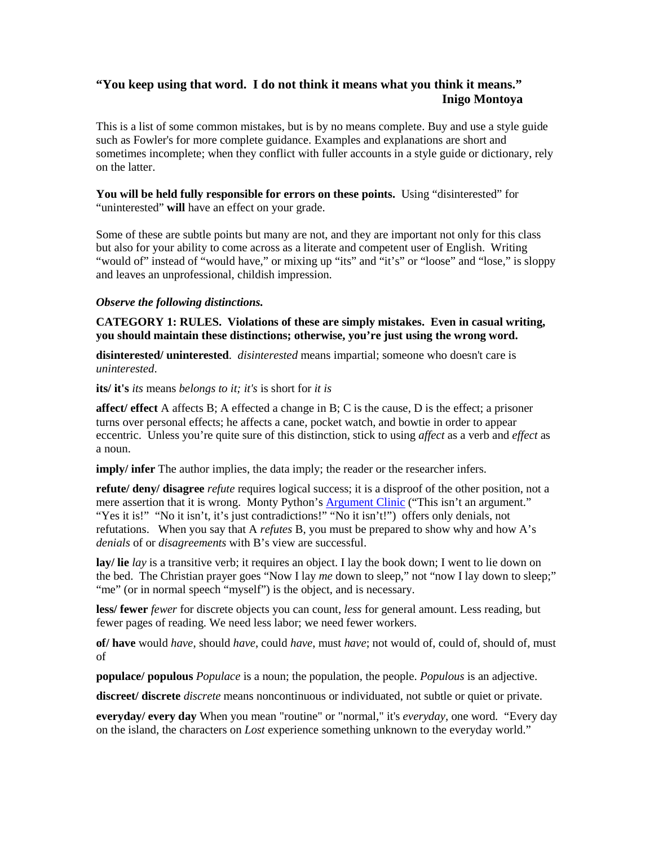# **"You keep using that word. I do not think it means what you think it means." Inigo Montoya**

This is a list of some common mistakes, but is by no means complete. Buy and use a style guide such as Fowler's for more complete guidance. Examples and explanations are short and sometimes incomplete; when they conflict with fuller accounts in a style guide or dictionary, rely on the latter.

**You will be held fully responsible for errors on these points.** Using "disinterested" for "uninterested" **will** have an effect on your grade.

Some of these are subtle points but many are not, and they are important not only for this class but also for your ability to come across as a literate and competent user of English. Writing "would of" instead of "would have," or mixing up "its" and "it's" or "loose" and "lose," is sloppy and leaves an unprofessional, childish impression.

### *Observe the following distinctions.*

**CATEGORY 1: RULES. Violations of these are simply mistakes. Even in casual writing, you should maintain these distinctions; otherwise, you're just using the wrong word.**

**disinterested/ uninterested**. *disinterested* means impartial; someone who doesn't care is *uninterested*.

**its/ it's** *its* means *belongs to it; it's* is short for *it is*

**affect/ effect** A affects B; A effected a change in B; C is the cause, D is the effect; a prisoner turns over personal effects; he affects a cane, pocket watch, and bowtie in order to appear eccentric. Unless you're quite sure of this distinction, stick to using *affect* as a verb and *effect* as a noun.

**imply/** infer The author implies, the data imply; the reader or the researcher infers.

**refute/ deny/ disagree** *refute* requires logical success; it is a disproof of the other position, not a mere assertion that it is wrong. Monty Python's **Argument Clinic** ("This isn't an argument." "Yes it is!" "No it isn't, it's just contradictions!" "No it isn't!") offers only denials, not refutations. When you say that A *refutes* B, you must be prepared to show why and how A's *denials* of or *disagreements* with B's view are successful.

**lay/ lie** *lay* is a transitive verb; it requires an object. I lay the book down; I went to lie down on the bed. The Christian prayer goes "Now I lay *me* down to sleep," not "now I lay down to sleep;" "me" (or in normal speech "myself") is the object, and is necessary.

**less/ fewer** *fewer* for discrete objects you can count, *less* for general amount. Less reading, but fewer pages of reading. We need less labor; we need fewer workers.

**of/ have** would *have*, should *have*, could *have*, must *have*; not would of, could of, should of, must of

**populace/ populous** *Populace* is a noun; the population, the people. *Populous* is an adjective.

**discreet/ discrete** *discrete* means noncontinuous or individuated, not subtle or quiet or private.

**everyday/ every day** When you mean "routine" or "normal," it's *everyday,* one word*.* "Every day on the island, the characters on *Lost* experience something unknown to the everyday world."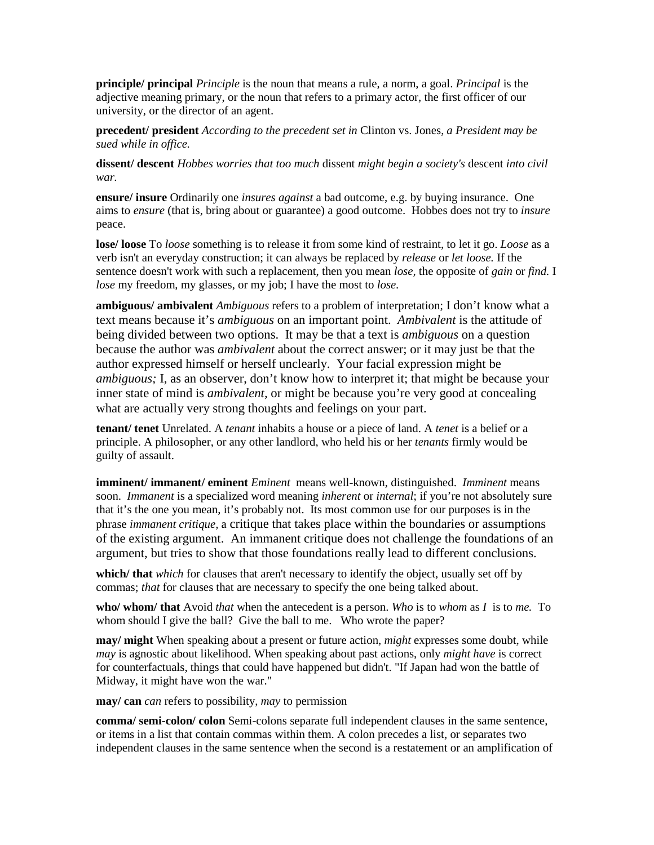**principle/ principal** *Principle* is the noun that means a rule, a norm, a goal. *Principal* is the adjective meaning primary, or the noun that refers to a primary actor, the first officer of our university, or the director of an agent.

**precedent/ president** *According to the precedent set in* Clinton vs. Jones, *a President may be sued while in office.*

**dissent/ descent** *Hobbes worries that too much* dissent *might begin a society's* descent *into civil war.*

**ensure/ insure** Ordinarily one *insures against* a bad outcome, e.g. by buying insurance. One aims to *ensure* (that is, bring about or guarantee) a good outcome. Hobbes does not try to *insure* peace.

**lose/ loose** To *loose* something is to release it from some kind of restraint, to let it go. *Loose* as a verb isn't an everyday construction; it can always be replaced by *release* or *let loose.* If the sentence doesn't work with such a replacement, then you mean *lose,* the opposite of *gain* or *find.* I *lose* my freedom, my glasses, or my job; I have the most to *lose.* 

**ambiguous/ ambivalent** *Ambiguous* refers to a problem of interpretation; I don't know what a text means because it's *ambiguous* on an important point. *Ambivalent* is the attitude of being divided between two options. It may be that a text is *ambiguous* on a question because the author was *ambivalent* about the correct answer; or it may just be that the author expressed himself or herself unclearly. Your facial expression might be *ambiguous;* I, as an observer, don't know how to interpret it; that might be because your inner state of mind is *ambivalent,* or might be because you're very good at concealing what are actually very strong thoughts and feelings on your part.

**tenant/ tenet** Unrelated. A *tenant* inhabits a house or a piece of land. A *tenet* is a belief or a principle. A philosopher, or any other landlord, who held his or her *tenants* firmly would be guilty of assault.

**imminent/ immanent/ eminent** *Eminent* means well-known, distinguished. *Imminent* means soon. *Immanent* is a specialized word meaning *inherent* or *internal*; if you're not absolutely sure that it's the one you mean, it's probably not. Its most common use for our purposes is in the phrase *immanent critique,* a critique that takes place within the boundaries or assumptions of the existing argument. An immanent critique does not challenge the foundations of an argument, but tries to show that those foundations really lead to different conclusions.

**which/ that** *which* for clauses that aren't necessary to identify the object, usually set off by commas; *that* for clauses that are necessary to specify the one being talked about.

**who/ whom/ that** Avoid *that* when the antecedent is a person. *Who* is to *whom* as *I* is to *me.* To whom should I give the ball? Give the ball to me. Who wrote the paper?

**may/ might** When speaking about a present or future action, *might* expresses some doubt, while *may* is agnostic about likelihood. When speaking about past actions, only *might have* is correct for counterfactuals, things that could have happened but didn't. "If Japan had won the battle of Midway, it might have won the war."

**may/ can** *can* refers to possibility, *may* to permission

**comma/ semi-colon/ colon** Semi-colons separate full independent clauses in the same sentence, or items in a list that contain commas within them. A colon precedes a list, or separates two independent clauses in the same sentence when the second is a restatement or an amplification of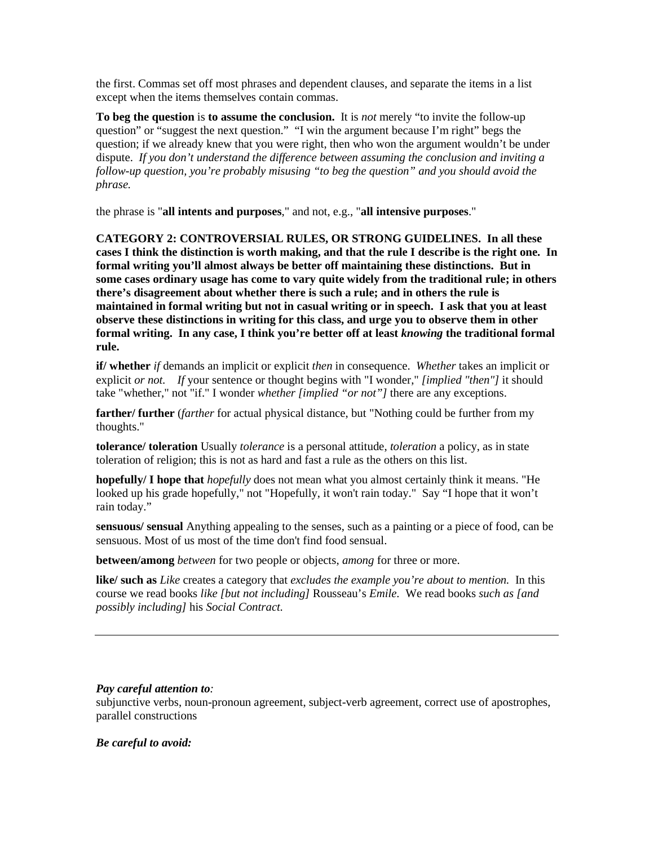the first. Commas set off most phrases and dependent clauses, and separate the items in a list except when the items themselves contain commas.

**To beg the question** is **to assume the conclusion.** It is *not* merely "to invite the follow-up question" or "suggest the next question." "I win the argument because I'm right" begs the question; if we already knew that you were right, then who won the argument wouldn't be under dispute. *If you don't understand the difference between assuming the conclusion and inviting a follow-up question, you're probably misusing "to beg the question" and you should avoid the phrase.*

the phrase is "**all intents and purposes**," and not, e.g., "**all intensive purposes**."

**CATEGORY 2: CONTROVERSIAL RULES, OR STRONG GUIDELINES. In all these cases I think the distinction is worth making, and that the rule I describe is the right one. In formal writing you'll almost always be better off maintaining these distinctions. But in some cases ordinary usage has come to vary quite widely from the traditional rule; in others there's disagreement about whether there is such a rule; and in others the rule is maintained in formal writing but not in casual writing or in speech. I ask that you at least observe these distinctions in writing for this class, and urge you to observe them in other formal writing. In any case, I think you're better off at least** *knowing* **the traditional formal rule.**

**if/ whether** *if* demands an implicit or explicit *then* in consequence. *Whether* takes an implicit or explicit *or not. If* your sentence or thought begins with "I wonder," *[implied "then"]* it should take "whether," not "if." I wonder *whether [implied "or not"]* there are any exceptions.

**farther/ further** (*farther* for actual physical distance, but "Nothing could be further from my thoughts."

**tolerance/ toleration** Usually *tolerance* is a personal attitude, *toleration* a policy, as in state toleration of religion; this is not as hard and fast a rule as the others on this list.

**hopefully/ I hope that** *hopefully* does not mean what you almost certainly think it means. "He looked up his grade hopefully," not "Hopefully, it won't rain today." Say "I hope that it won't rain today."

**sensuous/ sensual** Anything appealing to the senses, such as a painting or a piece of food, can be sensuous. Most of us most of the time don't find food sensual.

**between/among** *between* for two people or objects, *among* for three or more.

**like/ such as** *Like* creates a category that *excludes the example you're about to mention.* In this course we read books *like [but not including]* Rousseau's *Emile.* We read books *such as [and possibly including]* his *Social Contract.*

### *Pay careful attention to:*

subjunctive verbs, noun-pronoun agreement, subject-verb agreement, correct use of apostrophes, parallel constructions

### *Be careful to avoid:*